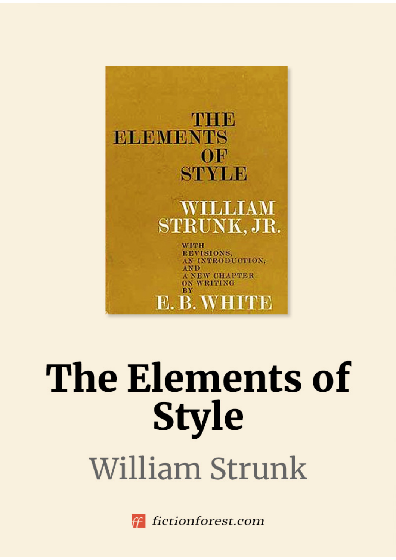

# The Elements of **Style** William Strunk



fictionforest.com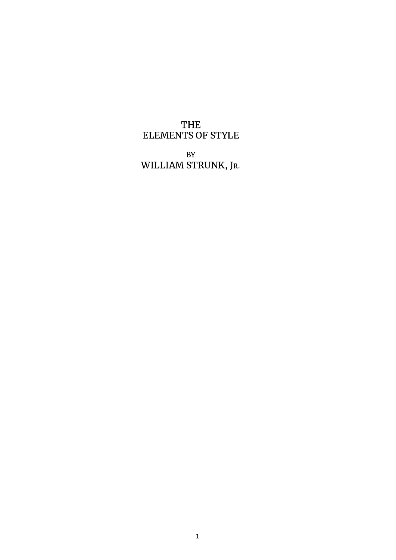## THE ELEMENTS OF STYLE

BY WILLIAM STRUNK, JR.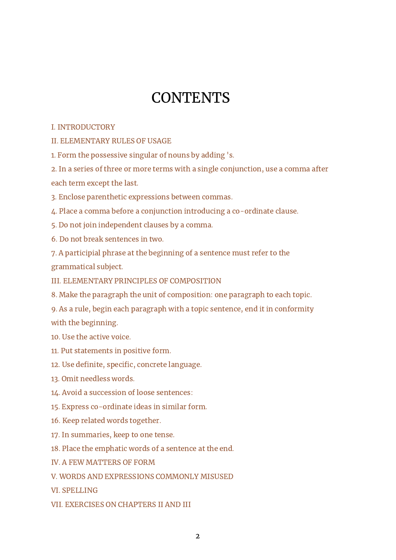# **CONTENTS**

#### I. [INTRODUCTORY](#page-3-0)

II. [ELEMENTARY](#page-5-0) RULES OF USAGE

1. Form the [possessive](#page-5-1) singular of nouns by adding 's.

2. In a series of three or more terms with a single [conjunction,](#page-5-2) use a comma after each term except the last.

3. Enclose parenthetic [expressions](#page-6-0) between commas.

4. Place a comma before a conjunction introducing a [co-ordinate](#page-7-0) clause.

5. Do not join [independent](#page-9-0) clauses by a comma.

6. Do not break [sentences](#page-10-0) in two.

7. A participial phrase at the beginning of a sentence must refer to the [grammatical](#page-10-1) subject.

III. ELEMENTARY PRINCIPLES OF [COMPOSITION](#page-12-0)

8. Make the paragraph the unit of [composition:](#page-12-1) one paragraph to each topic.

9. As a rule, begin each paragraph with a topic sentence, end it in [conformity](#page-13-0) with the beginning.

10. Use the [active](#page-15-0) voice.

11. Put [statements](#page-17-0) in positive form.

12. Use definite, specific, concrete [language.](#page-18-0)

13. Omit [needless](#page-19-0) words.

14. Avoid a [succession](#page-20-0) of loose sentences:

15. Express [co-ordinate](#page-21-0) ideas in similar form.

16. Keep related words [together.](#page-22-0)

17. In [summaries,](#page-24-0) keep to one tense.

18. Place the [emphatic](#page-25-0) words of a sentence at the end.

IV. A FEW [MATTERS](#page-27-0) OF FORM

V. WORDS AND [EXPRESSIONS](#page-30-0) COMMONLY MISUSED

VI. [SPELLING](#page-40-0)

VII. [EXERCISES](#page-43-0) ON CHAPTERS II AND III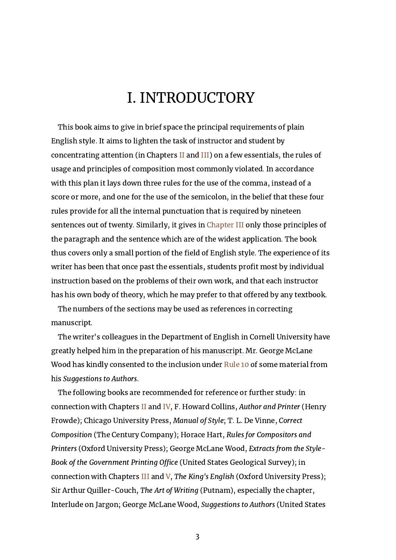# I. INTRODUCTORY

<span id="page-3-0"></span>This book aims to give in brief space the principal requirements of plain English style. It aims to lighten the task of instructor and student by concentrating attention (in Chapters [II](#page-5-0) and [III](#page-12-0)) on a few essentials, the rules of usage and principles of composition most commonly violated. In accordance with this plan it lays down three rules for the use of the comma, instead of a score or more, and one for the use of the semicolon, in the belief that these four rules provide for all the internal punctuation that is required by nineteen sentences out of twenty. Similarly, it gives in [Chapter](#page-12-0) III only those principles of the paragraph and the sentence which are of the widest application. The book thus covers only a small portion of the field of English style. The experience of its writer has been that once past the essentials, students profit most by individual instruction based on the problems of their own work, and that each instructor has his own body of theory, which he may prefer to that offered by any textbook.

The numbers of the sections may be used as references in correcting manuscript.

The writer's colleagues in the Department of English in Cornell University have greatly helped him in the preparation of his manuscript. Mr. George McLane Wood has kindly consented to the inclusion under [Rule](#page-15-0) 10 of some material from his Suggestions to Authors.

The following books are recommended for reference or further study: in connection with Chapters [II](#page-5-0) and [IV,](#page-27-0) F. Howard Collins, Author and Printer (Henry Frowde); Chicago University Press, Manual of Style; T. L. De Vinne, Correct Composition (The Century Company); Horace Hart, Rules for Compositors and Printers (Oxford University Press); George McLane Wood, Extracts from the Style-Book of the Government Printing Office (United States Geological Survey); in connection with Chapters [III](#page-12-0) and [V,](#page-30-0) The King's English (Oxford University Press); Sir Arthur Quiller-Couch, The Art of Writing (Putnam), especially the chapter, Interlude on Jargon; George McLane Wood, Suggestions to Authors (United States

3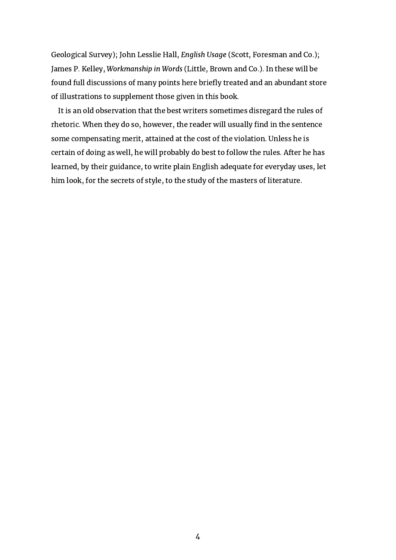Geological Survey); John Lesslie Hall, English Usage (Scott, Foresman and Co.); James P. Kelley, Workmanship in Words (Little, Brown and Co.). In these will be found full discussions of many points here briefly treated and an abundant store of illustrations to supplement those given in this book.

It is an old observation that the best writers sometimes disregard the rules of rhetoric. When they do so, however, the reader will usually find in the sentence some compensating merit, attained at the cost of the violation. Unless he is certain of doing as well, he will probably do best to follow the rules. After he has learned, by their guidance, to write plain English adequate for everyday uses, let him look, for the secrets of style, to the study of the masters of literature.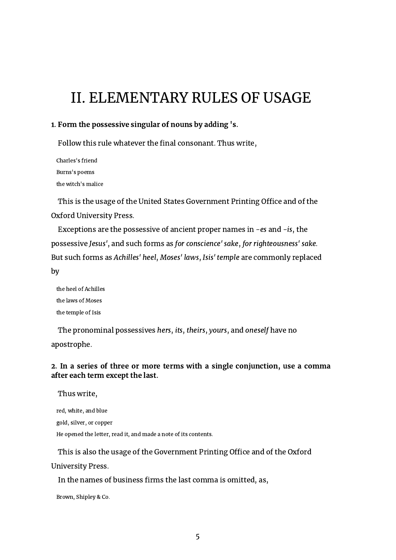# <span id="page-5-0"></span>II. ELEMENTARY RULES OF USAGE

#### <span id="page-5-1"></span>1. Form the possessive singular of nouns by adding 's.

Follow this rule whatever the final consonant. Thus write,

Charles's friend Burns's poems the witch's malice

This is the usage of the United States Government Printing Office and of the Oxford University Press.

Exceptions are the possessive of ancient proper names in -es and -is, the possessive Jesus', and such forms as for conscience' sake, for righteousness' sake. But such forms as Achilles' heel, Moses' laws, Isis' temple are commonly replaced by

the heel of Achilles the laws of Moses the temple of Isis

The pronominal possessives hers, its, theirs, yours, and oneself have no apostrophe.

#### <span id="page-5-2"></span>2. In a series of three or more terms with a single conjunction, use a comma after each term except the last.

Thus write,

red, white, and blue

gold, silver, or copper

He opened the letter, read it, and made a note of its contents.

This is also the usage of the Government Printing Office and of the Oxford University Press.

In the names of business firms the last comma is omitted, as,

Brown, Shipley & Co.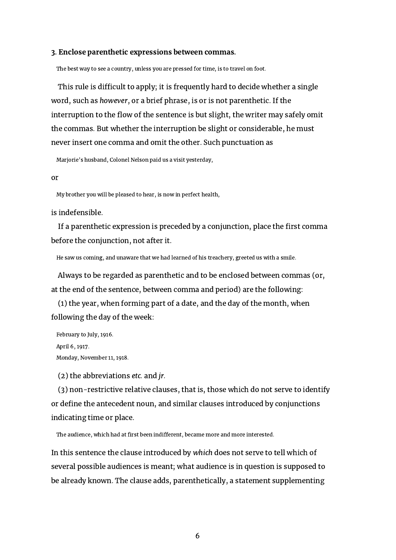#### <span id="page-6-0"></span>3. Enclose parenthetic expressions between commas.

The best way to see a country, unless you are pressed for time, is to travel on foot.

This rule is difficult to apply; it is frequently hard to decide whether a single word, such as however, or a brief phrase, is or is not parenthetic. If the interruption to the flow of the sentence is but slight, the writer may safely omit the commas. But whether the interruption be slight or considerable, he must never insert one comma and omit the other. Such punctuation as

Marjorie's husband, Colonel Nelson paid us a visit yesterday,

#### or

My brother you will be pleased to hear, is now in perfect health,

#### is indefensible.

If a parenthetic expression is preceded by a conjunction, place the first comma before the conjunction, not after it.

He saw us coming, and unaware that we had learned of his treachery, greeted us with a smile.

Always to be regarded as parenthetic and to be enclosed between commas (or, at the end of the sentence, between comma and period) are the following:

(1) the year, when forming part of a date, and the day of the month, when following the day of the week:

February to July, 1916. April 6, 1917. Monday, November 11, 1918.

(2) the abbreviations etc. and jr.

(3) non-restrictive relative clauses, that is, those which do not serve to identify or define the antecedent noun, and similar clauses introduced by conjunctions indicating time or place.

The audience, which had at first been indifferent, became more and more interested.

In this sentence the clause introduced by which does not serve to tell which of several possible audiences is meant; what audience is in question is supposed to be already known. The clause adds, parenthetically, a statement supplementing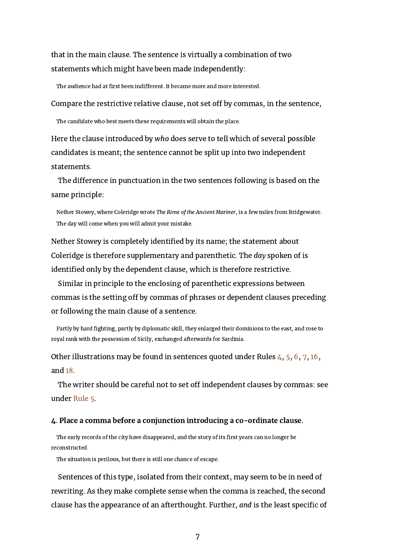that in the main clause. The sentence is virtually a combination of two statements which might have been made independently:

The audience had at first been indifferent. It became more and more interested.

Compare the restrictive relative clause, not set off by commas, in the sentence,

The candidate who best meets these requirements will obtain the place.

Here the clause introduced by who does serve to tell which of several possible candidates is meant; the sentence cannot be split up into two independent statements.

The difference in punctuation in the two sentences following is based on the same principle:

Nether Stowey, where Coleridge wrote The Rime of the Ancient Mariner, is a few miles from Bridgewater. The day will come when you will admit your mistake.

Nether Stowey is completely identified by its name; the statement about Coleridge is therefore supplementary and parenthetic. The day spoken of is identified only by the dependent clause, which is therefore restrictive.

Similar in principle to the enclosing of parenthetic expressions between commas is the setting off by commas of phrases or dependent clauses preceding or following the main clause of a sentence.

Partly by hard fighting, partly by diplomatic skill, they enlarged their dominions to the east, and rose to royal rank with the possession of Sicily, exchanged afterwards for Sardinia.

Other illustrations may be found in sentences quoted under Rules [4](#page-7-0), [5](#page-9-0), [6](#page-10-0), [7](#page-10-1), [16,](#page-22-0) and [18](#page-25-0).

The writer should be careful not to set off independent clauses by commas: see under [Rule](#page-9-0) 5.

#### <span id="page-7-0"></span>4. Place a comma before a conjunction introducing a co-ordinate clause.

The early records of the city have disappeared, and the story of its first years can no longer be reconstructed.

The situation is perilous, but there is still one chance of escape.

Sentences of this type, isolated from their context, may seem to be in need of rewriting. As they make complete sense when the comma is reached, the second clause has the appearance of an afterthought. Further, and is the least specific of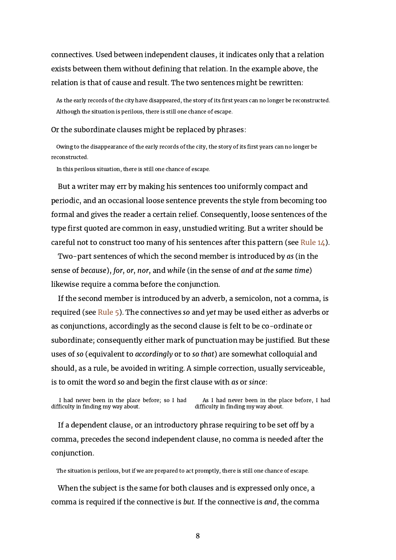connectives. Used between independent clauses, it indicates only that a relation exists between them without defining that relation. In the example above, the relation is that of cause and result. The two sentences might be rewritten:

As the early records of the city have disappeared, the story of its first years can no longer be reconstructed. Although the situation is perilous, there is still one chance of escape.

#### Or the subordinate clauses might be replaced by phrases:

Owing to the disappearance of the early records of the city, the story of its first years can no longer be reconstructed.

In this perilous situation, there is still one chance of escape.

But a writer may err by making his sentences too uniformly compact and periodic, and an occasional loose sentence prevents the style from becoming too formal and gives the reader a certain relief. Consequently, loose sentences of the type first quoted are common in easy, unstudied writing. But a writer should be careful not to construct too many of his sentences after this pattern (see [Rule](#page-20-0) 14).

Two-part sentences of which the second member is introduced by as (in the sense of because), for, or, nor, and while (in the sense of and at the same time) likewise require a comma before the conjunction.

If the second member is introduced by an adverb, a semicolon, not a comma, is required (see [Rule](#page-9-0) 5). The connectives so and yet may be used either as adverbs or as conjunctions, accordingly as the second clause is felt to be co-ordinate or subordinate; consequently either mark of punctuation may be justified. But these uses of so (equivalent to accordingly or to so that) are somewhat colloquial and should, as a rule, be avoided in writing. A simple correction, usually serviceable, is to omit the word so and begin the first clause with as or since:

I had never been in the place before; so I had difficulty in finding my way about. As I had never been in the place before, I had difficulty in finding my way about.

If a dependent clause, or an introductory phrase requiring to be set off by a comma, precedes the second independent clause, no comma is needed after the conjunction.

The situation is perilous, but if we are prepared to act promptly, there is still one chance of escape.

When the subject is the same for both clauses and is expressed only once, a comma is required if the connective is but. If the connective is and, the comma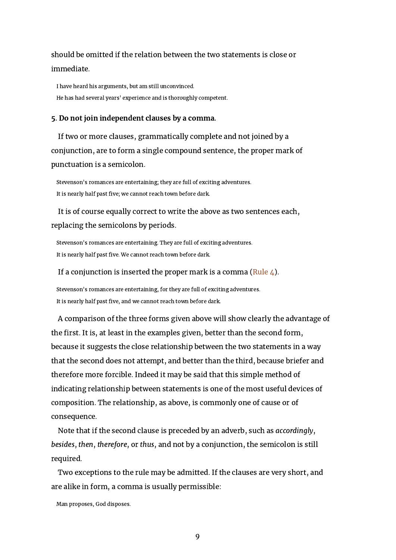should be omitted if the relation between the two statements is close or immediate.

I have heard his arguments, but am still unconvinced. He has had several years' experience and is thoroughly competent.

#### <span id="page-9-0"></span>5. Do not join independent clauses by a comma.

If two or more clauses, grammatically complete and not joined by a conjunction, are to form a single compound sentence, the proper mark of punctuation is a semicolon.

Stevenson's romances are entertaining; they are full of exciting adventures. It is nearly half past five; we cannot reach town before dark.

It is of course equally correct to write the above as two sentences each, replacing the semicolons by periods.

Stevenson's romances are entertaining. They are full of exciting adventures. It is nearly half past five. We cannot reach town before dark.

#### If a conjunction is inserted the proper mark is a comma [\(Rule](#page-7-0)  $\mu$ ).

Stevenson's romances are entertaining, for they are full of exciting adventures. It is nearly half past five, and we cannot reach town before dark.

A comparison of the three forms given above will show clearly the advantage of the first. It is, at least in the examples given, better than the second form, because it suggests the close relationship between the two statements in a way that the second does not attempt, and better than the third, because briefer and therefore more forcible. Indeed it may be said that this simple method of indicating relationship between statements is one of the most useful devices of composition. The relationship, as above, is commonly one of cause or of consequence.

Note that if the second clause is preceded by an adverb, such as accordingly, besides, then, therefore, or thus, and not by a conjunction, the semicolon is still required.

Two exceptions to the rule may be admitted. If the clauses are very short, and are alike in form, a comma is usually permissible:

Man proposes, God disposes.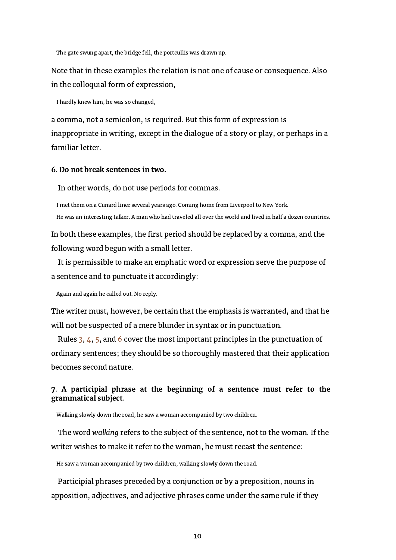The gate swung apart, the bridge fell, the portcullis was drawn up.

Note that in these examples the relation is not one of cause or consequence. Also in the colloquial form of expression,

I hardly knew him, he was so changed,

a comma, not a semicolon, is required. But this form of expression is inappropriate in writing, except in the dialogue of a story or play, or perhaps in a familiar letter.

#### <span id="page-10-0"></span>6. Do not break sentences in two.

In other words, do not use periods for commas.

I met them on a Cunard liner several years ago. Coming home from Liverpool to New York. He was an interesting talker. A man who had traveled all over the world and lived in half a dozen countries.

In both these examples, the first period should be replaced by a comma, and the following word begun with a small letter.

It is permissible to make an emphatic word or expression serve the purpose of a sentence and to punctuate it accordingly:

Again and again he called out. No reply.

The writer must, however, be certain that the emphasis is warranted, and that he will not be suspected of a mere blunder in syntax or in punctuation.

Rules [3,](#page-6-0) [4](#page-7-0), [5](#page-9-0), and [6](#page-10-0) cover the most important principles in the punctuation of ordinary sentences; they should be so thoroughly mastered that their application becomes second nature.

#### <span id="page-10-1"></span>7. A participial phrase at the beginning of a sentence must refer to the grammatical subject.

Walking slowly down the road, he saw a woman accompanied by two children.

The word walking refers to the subject of the sentence, not to the woman. If the writer wishes to make it refer to the woman, he must recast the sentence:

He saw a woman accompanied by two children, walking slowly down the road.

Participial phrases preceded by a conjunction or by a preposition, nouns in apposition, adjectives, and adjective phrases come under the same rule if they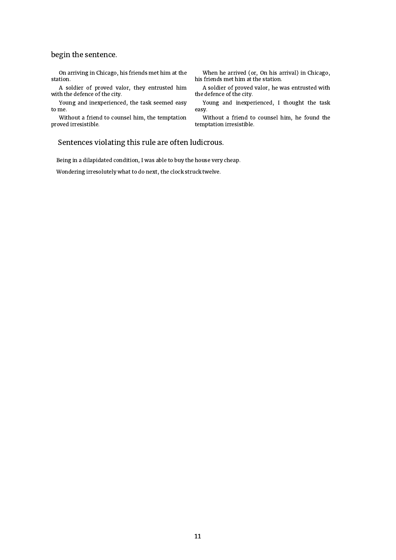#### begin the sentence.

On arriving in Chicago, his friends met him at the station.

A soldier of proved valor, they entrusted him with the defence of the city.

Young and inexperienced, the task seemed easy to me.

Without a friend to counsel him, the temptation proved irresistible.

When he arrived (or, On his arrival) in Chicago, his friends met him at the station.

A soldier of proved valor, he was entrusted with the defence of the city.

Young and inexperienced, I thought the task easy.

Without a friend to counsel him, he found the temptation irresistible.

#### Sentences violating this rule are often ludicrous.

Being in a dilapidated condition, I was able to buy the house very cheap.

Wondering irresolutely what to do next, the clock struck twelve.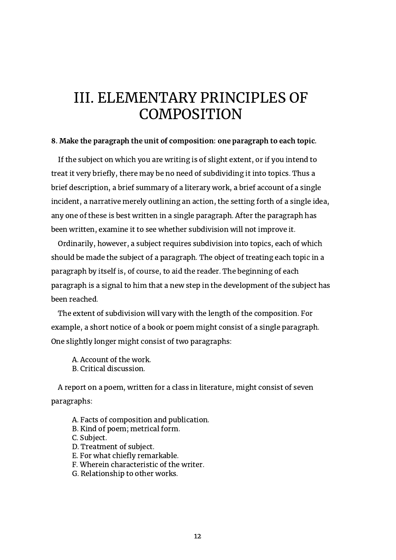## <span id="page-12-0"></span>III. ELEMENTARY PRINCIPLES OF **COMPOSITION**

#### <span id="page-12-1"></span>8. Make the paragraph the unit of composition: one paragraph to each topic.

If the subject on which you are writing is of slight extent, or if you intend to treat it very briefly, there may be no need of subdividing it into topics. Thus a brief description, a brief summary of a literary work, a brief account of a single incident, a narrative merely outlining an action, the setting forth of a single idea, any one of these is best written in a single paragraph. After the paragraph has been written, examine it to see whether subdivision will not improve it.

Ordinarily, however, a subject requires subdivision into topics, each of which should be made the subject of a paragraph. The object of treating each topic in a paragraph by itself is, of course, to aid the reader. The beginning of each paragraph is a signal to him that a new step in the development of the subject has been reached.

The extent of subdivision will vary with the length of the composition. For example, a short notice of a book or poem might consist of a single paragraph. One slightly longer might consist of two paragraphs:

A. Account of the work. B. Critical discussion.

A report on a poem, written for a class in literature, might consist of seven paragraphs:

- A. Facts of composition and publication.
- B. Kind of poem; metrical form.
- C. Subject.
- D. Treatment of subject.
- E. For what chiefly remarkable.
- F. Wherein characteristic of the writer.
- G. Relationship to other works.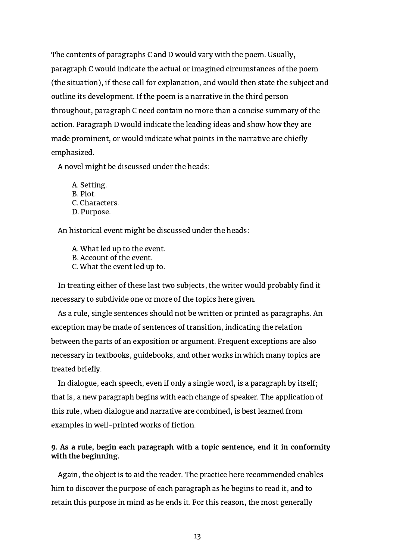The contents of paragraphs C and D would vary with the poem. Usually, paragraph C would indicate the actual or imagined circumstances of the poem (the situation), if these call for explanation, and would then state the subject and outline its development. If the poem is a narrative in the third person throughout, paragraph C need contain no more than a concise summary of the action. Paragraph D would indicate the leading ideas and show how they are made prominent, or would indicate what points in the narrative are chiefly emphasized.

A novel might be discussed under the heads:

A. Setting. B. Plot. C. Characters. D. Purpose.

An historical event might be discussed under the heads:

A. What led up to the event. B. Account of the event. C. What the event led up to.

In treating either of these last two subjects, the writer would probably find it necessary to subdivide one or more of the topics here given.

As a rule, single sentences should not be written or printed as paragraphs. An exception may be made of sentences of transition, indicating the relation between the parts of an exposition or argument. Frequent exceptions are also necessary in textbooks, guidebooks, and other works in which many topics are treated briefly.

In dialogue, each speech, even if only a single word, is a paragraph by itself; that is, a new paragraph begins with each change of speaker. The application of this rule, when dialogue and narrative are combined, is best learned from examples in well-printed works of fiction.

#### <span id="page-13-0"></span>9. As a rule, begin each paragraph with a topic sentence, end it in conformity with the beginning.

Again, the object is to aid the reader. The practice here recommended enables him to discover the purpose of each paragraph as he begins to read it, and to retain this purpose in mind as he ends it. For this reason, the most generally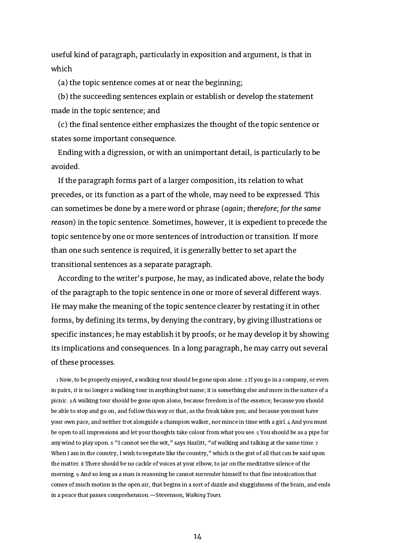useful kind of paragraph, particularly in exposition and argument, is that in which

(a) the topic sentence comes at or near the beginning;

(b) the succeeding sentences explain or establish or develop the statement made in the topic sentence; and

(c) the final sentence either emphasizes the thought of the topic sentence or states some important consequence.

Ending with a digression, or with an unimportant detail, is particularly to be avoided.

If the paragraph forms part of a larger composition, its relation to what precedes, or its function as a part of the whole, may need to be expressed. This can sometimes be done by a mere word or phrase (again; therefore; for the same reason) in the topic sentence. Sometimes, however, it is expedient to precede the topic sentence by one or more sentences of introduction or transition. If more than one such sentence is required, it is generally better to set apart the transitional sentences as a separate paragraph.

According to the writer's purpose, he may, as indicated above, relate the body of the paragraph to the topic sentence in one or more of several different ways. He may make the meaning of the topic sentence clearer by restating it in other forms, by defining its terms, by denying the contrary, by giving illustrations or specific instances; he may establish it by proofs; or he may develop it by showing its implications and consequences. In a long paragraph, he may carry out several of these processes.

1 Now, to be properly enjoyed, a walking tour should be gone upon alone. 2 If you go in a company, or even in pairs, it is no longer a walking tour in anything but name; it is something else and more in the nature of a picnic. 3 A walking tour should be gone upon alone, because freedom is of the essence; because you should be able to stop and go on, and follow this way or that, as the freak takes you; and because you must have your own pace, and neither trot alongside a champion walker, nor mince in time with a girl. 4 And you must be open to all impressions and let your thoughts take colour from what you see. 5 You should be as a pipe for any wind to play upon. 6 "I cannot see the wit," says Hazlitt, "of walking and talking at the same time. 7 When I am in the country, I wish to vegetate like the country," which is the gist of all that can be said upon the matter. 8 There should be no cackle of voices at your elbow, to jar on the meditative silence of the morning. 9 And so long as a man is reasoning he cannot surrender himself to that fine intoxication that comes of much motion in the open air, that begins in a sort of dazzle and sluggishness of the brain, and ends in a peace that passes comprehension.—Stevenson, Walking Tours.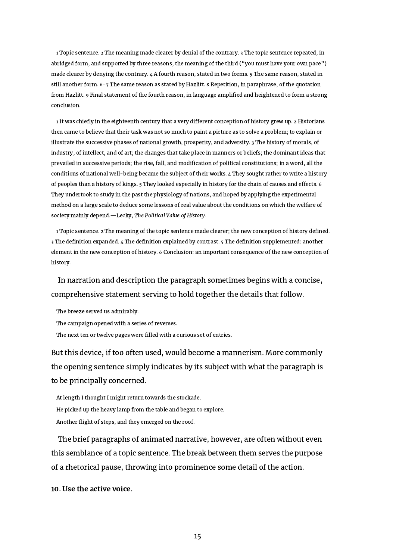1 Topic sentence. 2 The meaning made clearer by denial of the contrary. 3 The topic sentence repeated, in abridged form, and supported by three reasons; the meaning of the third ("you must have your own pace") made clearer by denying the contrary. 4 A fourth reason, stated in two forms. 5 The same reason, stated in still another form. 6–7 The same reason as stated by Hazlitt. 8 Repetition, in paraphrase, of the quotation from Hazlitt. 9 Final statement of the fourth reason, in language amplified and heightened to form a strong conclusion.

1 It was chiefly in the eighteenth century that a very different conception of history grew up. 2 Historians then came to believe that their task was not so much to paint a picture as to solve a problem; to explain or illustrate the successive phases of national growth, prosperity, and adversity. 3 The history of morals, of industry, of intellect, and of art; the changes that take place in manners or beliefs; the dominant ideas that prevailed in successive periods; the rise, fall, and modification of political constitutions; in a word, all the conditions of national well-being became the subject of their works. 4 They sought rather to write a history of peoples than a history of kings. 5 They looked especially in history for the chain of causes and effects. 6 They undertook to study in the past the physiology of nations, and hoped by applying the experimental method on a large scale to deduce some lessons of real value about the conditions on which the welfare of society mainly depend.—Lecky, The Political Value of History.

1 Topic sentence. 2 The meaning of the topic sentence made clearer; the new conception of history defined. 3 The definition expanded. 4 The definition explained by contrast. 5 The definition supplemented: another element in the new conception of history. 6 Conclusion: an important consequence of the new conception of history.

## In narration and description the paragraph sometimes begins with a concise, comprehensive statement serving to hold together the details that follow.

The breeze served us admirably.

The campaign opened with a series of reverses.

The next ten or twelve pages were filled with a curious set of entries.

But this device, if too often used, would become a mannerism. More commonly the opening sentence simply indicates by its subject with what the paragraph is to be principally concerned.

At length I thought I might return towards the stockade. He picked up the heavy lamp from the table and began to explore. Another flight of steps, and they emerged on the roof.

The brief paragraphs of animated narrative, however, are often without even this semblance of a topic sentence. The break between them serves the purpose of a rhetorical pause, throwing into prominence some detail of the action.

<span id="page-15-0"></span>10. Use the active voice.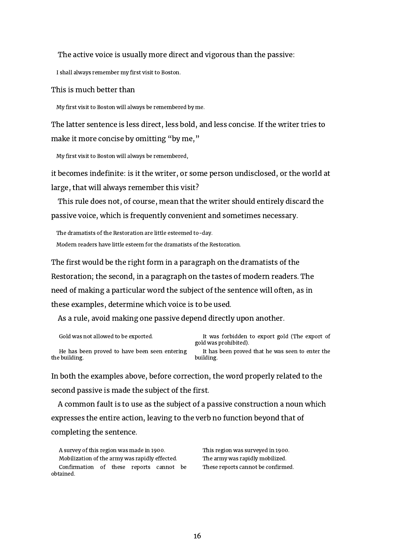#### The active voice is usually more direct and vigorous than the passive:

I shall always remember my first visit to Boston.

#### This is much better than

My first visit to Boston will always be remembered by me.

The latter sentence is less direct, less bold, and less concise. If the writer tries to make it more concise by omitting "by me,"

My first visit to Boston will always be remembered,

it becomes indefinite: is it the writer, or some person undisclosed, or the world at large, that will always remember this visit?

This rule does not, of course, mean that the writer should entirely discard the passive voice, which is frequently convenient and sometimes necessary.

The dramatists of the Restoration are little esteemed to-day. Modern readers have little esteem for the dramatists of the Restoration.

The first would be the right form in a paragraph on the dramatists of the Restoration; the second, in a paragraph on the tastes of modern readers. The need of making a particular word the subject of the sentence will often, as in these examples, determine which voice is to be used.

As a rule, avoid making one passive depend directly upon another.

| Gold was not allowed to be exported.          | It was forbidden to export gold (The export of<br>gold was prohibited). |
|-----------------------------------------------|-------------------------------------------------------------------------|
| He has been proved to have been seen entering | It has been proved that he was seen to enter the                        |
| the building.                                 | building.                                                               |

In both the examples above, before correction, the word properly related to the second passive is made the subject of the first.

A common fault is to use as the subject of a passive construction a noun which expresses the entire action, leaving to the verb no function beyond that of completing the sentence.

A survey of this region was made in 1900. This region was surveyed in 1900. Mobilization of the army was rapidly effected. The army was rapidly mobilized. Confirmation of these reports cannot be obtained.

These reports cannot be confirmed.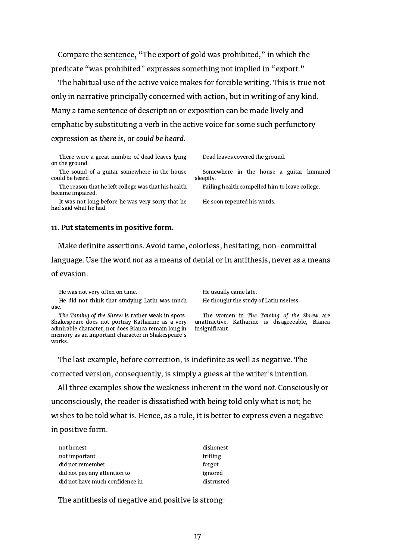Compare the sentence, "The export of gold was prohibited," in which the predicate "was prohibited" expresses something not implied in "export."

The habitual use of the active voice makes for forcible writing. This is true not only in narrative principally concerned with action, but in writing of any kind. Many a tame sentence of description or exposition can be made lively and emphatic by substituting a verb in the active voice for some such perfunctory expression as there is, or could be heard.

There were a great number of dead leaves lying on the ground.

The sound of a guitar somewhere in the house could be heard.

The reason that he left college was that his health became impaired.

It was not long before he was very sorry that he had said what he had.

Dead leaves covered the ground.

Somewhere in the house a guitar hummed sleepily.

Failing health compelled him to leave college.

He soon repented his words.

#### <span id="page-17-0"></span>11. Put statements in positive form.

Make definite assertions. Avoid tame, colorless, hesitating, non-committal

language. Use the word not as a means of denial or in antithesis, never as a means

#### of evasion.

He was not very often on time. The usually came late.

He did not think that studying Latin was much use.

The Taming of the Shrew is rather weak in spots. Shakespeare does not portray Katharine as a very admirable character, nor does Bianca remain long in memory as an important character in Shakespeare's works.

He thought the study of Latin useless.

The women in The Taming of the Shrew are unattractive. Katharine is disagreeable, Bianca insignificant.

The last example, before correction, is indefinite as well as negative. The corrected version, consequently, is simply a guess at the writer's intention.

All three examples show the weakness inherent in the word not. Consciously or unconsciously, the reader is dissatisfied with being told only what is not; he wishes to be told what is. Hence, as a rule, it is better to express even a negative in positive form.

| not honest                      | dishonest  |
|---------------------------------|------------|
| not important                   | trifling   |
| did not remember                | forgot     |
| did not pay any attention to    | ignored    |
| did not have much confidence in | distrusted |

The antithesis of negative and positive is strong: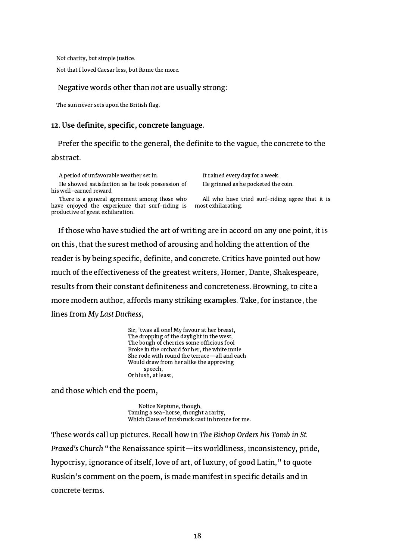Not charity, but simple justice.

Not that I loved Caesar less, but Rome the more.

#### Negative words other than not are usually strong:

The sun never sets upon the British flag.

#### <span id="page-18-0"></span>12. Use definite, specific, concrete language.

Prefer the specific to the general, the definite to the vague, the concrete to the abstract.

A period of unfavorable weather set in. It rained every day for a week.

He showed satisfaction as he took possession of his well-earned reward.

There is a general agreement among those who have enjoyed the experience that surf-riding is productive of great exhilaration.

He grinned as he pocketed the coin.

All who have tried surf-riding agree that it is most exhilarating.

If those who have studied the art of writing are in accord on any one point, it is on this, that the surest method of arousing and holding the attention of the reader is by being specific, definite, and concrete. Critics have pointed out how much of the effectiveness of the greatest writers, Homer, Dante, Shakespeare, results from their constant definiteness and concreteness. Browning, to cite a more modern author, affords many striking examples. Take, for instance, the lines from My Last Duchess,

> Sir, 'twas all one! My favour at her breast, The dropping of the daylight in the west, The bough of cherries some officious fool Broke in the orchard for her, the white mule She rode with round the terrace—all and each Would draw from her alike the approving speech, Or blush, at least,

and those which end the poem,

Notice Neptune, though, Taming a sea-horse, thought a rarity, Which Claus of Innsbruck cast in bronze for me.

These words call up pictures. Recall how in The Bishop Orders his Tomb in St. Praxed's Church "the Renaissance spirit—its worldliness, inconsistency, pride, hypocrisy, ignorance of itself, love of art, of luxury, of good Latin," to quote Ruskin's comment on the poem, is made manifest in specific details and in concrete terms.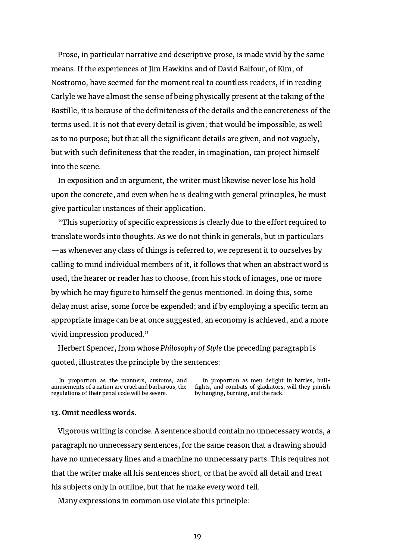Prose, in particular narrative and descriptive prose, is made vivid by the same means. If the experiences of Jim Hawkins and of David Balfour, of Kim, of Nostromo, have seemed for the moment real to countless readers, if in reading Carlyle we have almost the sense of being physically present at the taking of the Bastille, it is because of the definiteness of the details and the concreteness of the terms used. It is not that every detail is given; that would be impossible, as well as to no purpose; but that all the significant details are given, and not vaguely, but with such definiteness that the reader, in imagination, can project himself into the scene.

In exposition and in argument, the writer must likewise never lose his hold upon the concrete, and even when he is dealing with general principles, he must give particular instances of their application.

"This superiority of specific expressions is clearly due to the effort required to translate words into thoughts. As we do not think in generals, but in particulars —as whenever any class of things is referred to, we represent it to ourselves by calling to mind individual members of it, it follows that when an abstract word is used, the hearer or reader has to choose, from his stock of images, one or more by which he may figure to himself the genus mentioned. In doing this, some delay must arise, some force be expended; and if by employing a specific term an appropriate image can be at once suggested, an economy is achieved, and a more vivid impression produced."

Herbert Spencer, from whose Philosophy of Style the preceding paragraph is quoted, illustrates the principle by the sentences:

In proportion as the manners, customs, and amusements of a nation are cruel and barbarous, the regulations of their penal code will be severe.

In proportion as men delight in battles, bullfights, and combats of gladiators, will they punish by hanging, burning, and the rack.

#### <span id="page-19-0"></span>13. Omit needless words.

Vigorous writing is concise. A sentence should contain no unnecessary words, a paragraph no unnecessary sentences, for the same reason that a drawing should have no unnecessary lines and a machine no unnecessary parts. This requires not that the writer make all his sentences short, or that he avoid all detail and treat his subjects only in outline, but that he make every word tell.

Many expressions in common use violate this principle: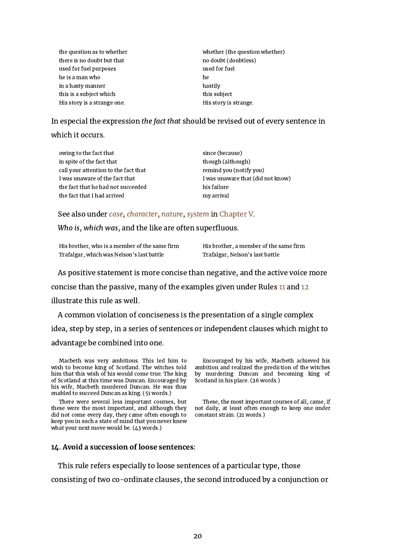| the question as to whether  | whether (the question whether) |  |
|-----------------------------|--------------------------------|--|
| there is no doubt but that  | no doubt (doubtless)           |  |
| used for fuel purposes      | used for fuel                  |  |
| he is a man who             | he                             |  |
| in a hasty manner           | hastily                        |  |
| this is a subject which     | this subject                   |  |
| His story is a strange one. | His story is strange.          |  |

In especial the expression the fact that should be revised out of every sentence in

#### which it occurs.

| owing to the fact that               | since (because)                   |
|--------------------------------------|-----------------------------------|
| in spite of the fact that            | though (although)                 |
| call your attention to the fact that | remind you (notify you)           |
| I was unaware of the fact that       | I was unaware that (did not know) |
| the fact that he had not succeeded   | his failure                       |
| the fact that I had arrived          | my arrival                        |
|                                      |                                   |

See also under [case](#page-31-0), [character,](#page-31-1) [nature](#page-35-0), [system](#page-37-0) in [Chapter](#page-30-0) V.

Who is, which was, and the like are often superfluous.

His brother, who is a member of the same firm His brother, a member of the same firm Trafalgar, which was Nelson's last battle Trafalgar, Nelson's last battle

As positive statement is more concise than negative, and the active voice more

concise than the passive, many of the examples given under Rules [11](#page-17-0) and [12](#page-18-0)

illustrate this rule as well.

A common violation of conciseness is the presentation of a single complex idea, step by step, in a series of sentences or independent clauses which might to advantage be combined into one.

Macbeth was very ambitious. This led him to wish to become king of Scotland. The witches told him that this wish of his would come true. The king of Scotland at this time was Duncan. Encouraged by his wife, Macbeth murdered Duncan. He was thus enabled to succeed Duncan as king. (51 words.)

There were several less important courses, but these were the most important, and although they did not come every day, they came often enough to keep you in such a state of mind that you never knew what your next move would be. (43 words.)

Encouraged by his wife, Macbeth achieved his ambition and realized the prediction of the witches by murdering Duncan and becoming king of Scotland in his place. (26 words.)

These, the most important courses of all, came, if not daily, at least often enough to keep one under constant strain. (21 words.)

#### <span id="page-20-0"></span>14. Avoid a succession of loose sentences:

This rule refers especially to loose sentences of a particular type, those

consisting of two co-ordinate clauses, the second introduced by a conjunction or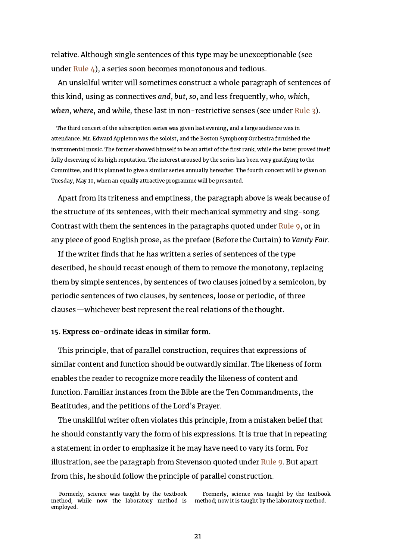relative. Although single sentences of this type may be unexceptionable (see under [Rule](#page-7-0)  $\angle$ ), a series soon becomes monotonous and tedious.

An unskilful writer will sometimes construct a whole paragraph of sentences of this kind, using as connectives and, but, so, and less frequently, who, which, when, where, and while, these last in non-restrictive senses (see under [Rule](#page-6-0) 3).

The third concert of the subscription series was given last evening, and a large audience was in attendance. Mr. Edward Appleton was the soloist, and the Boston Symphony Orchestra furnished the instrumental music. The former showed himself to be an artist of the first rank, while the latter proved itself fully deserving of its high reputation. The interest aroused by the series has been very gratifying to the Committee, and it is planned to give a similar series annually hereafter. The fourth concert will be given on Tuesday, May 10, when an equally attractive programme will be presented.

Apart from its triteness and emptiness, the paragraph above is weak because of the structure of its sentences, with their mechanical symmetry and sing-song. Contrast with them the sentences in the paragraphs quoted under [Rule](#page-13-0) 9, or in any piece of good English prose, as the preface (Before the Curtain) to Vanity Fair.

If the writer finds that he has written a series of sentences of the type described, he should recast enough of them to remove the monotony, replacing them by simple sentences, by sentences of two clauses joined by a semicolon, by periodic sentences of two clauses, by sentences, loose or periodic, of three clauses—whichever best represent the real relations of the thought.

#### <span id="page-21-0"></span>15. Express co-ordinate ideas in similar form.

This principle, that of parallel construction, requires that expressions of similar content and function should be outwardly similar. The likeness of form enables the reader to recognize more readily the likeness of content and function. Familiar instances from the Bible are the Ten Commandments, the Beatitudes, and the petitions of the Lord's Prayer.

The unskillful writer often violates this principle, from a mistaken belief that he should constantly vary the form of his expressions. It is true that in repeating a statement in order to emphasize it he may have need to vary its form. For illustration, see the paragraph from Stevenson quoted under [Rule](#page-13-0) 9. But apart from this, he should follow the principle of parallel construction.

Formerly, science was taught by the textbook method; now it is taught by the laboratory method.

Formerly, science was taught by the textbook method, while now the laboratory method is employed.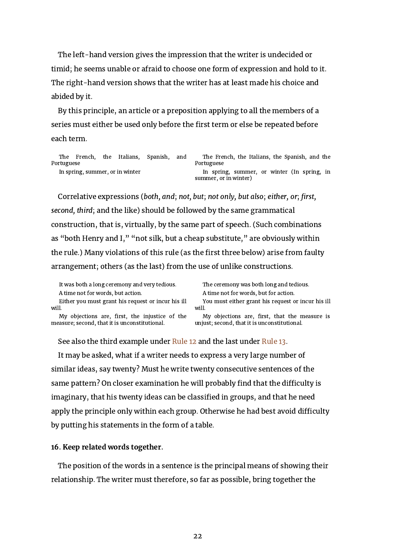The left-hand version gives the impression that the writer is undecided or timid; he seems unable or afraid to choose one form of expression and hold to it. The right-hand version shows that the writer has at least made his choice and abided by it.

By this principle, an article or a preposition applying to all the members of a series must either be used only before the first term or else be repeated before each term.

|            | The French, |                                 | the Italians, Spanish, and | The French, the Italians, the Spanish, and the |
|------------|-------------|---------------------------------|----------------------------|------------------------------------------------|
| Portuguese |             |                                 |                            | Portuguese                                     |
|            |             | In spring, summer, or in winter |                            | In spring, summer, or winter (In spring, in    |
|            |             |                                 |                            | summer, or in winter)                          |

Correlative expressions (both, and; not, but; not only, but also; either, or; first, second, third; and the like) should be followed by the same grammatical construction, that is, virtually, by the same part of speech. (Such combinations as "both Henry and I," "not silk, but a cheap substitute," are obviously within the rule.) Many violations of this rule (as the first three below) arise from faulty arrangement; others (as the last) from the use of unlike constructions.

It was both a long ceremony and very tedious. The ceremony was both long and tedious. A time not for words, but action. A time not for words, but for action.

Either you must grant his request or incur his ill will.

My objections are, first, the injustice of the measure; second, that it is unconstitutional.

You must either grant his request or incur his ill will.

My objections are, first, that the measure is unjust; second, that it is unconstitutional.

See also the third example under [Rule](#page-18-0) 12 and the last under [Rule](#page-19-0) 13.

It may be asked, what if a writer needs to express a very large number of similar ideas, say twenty? Must he write twenty consecutive sentences of the same pattern? On closer examination he will probably find that the difficulty is imaginary, that his twenty ideas can be classified in groups, and that he need apply the principle only within each group. Otherwise he had best avoid difficulty by putting his statements in the form of a table.

#### <span id="page-22-0"></span>16. Keep related words together.

The position of the words in a sentence is the principal means of showing their relationship. The writer must therefore, so far as possible, bring together the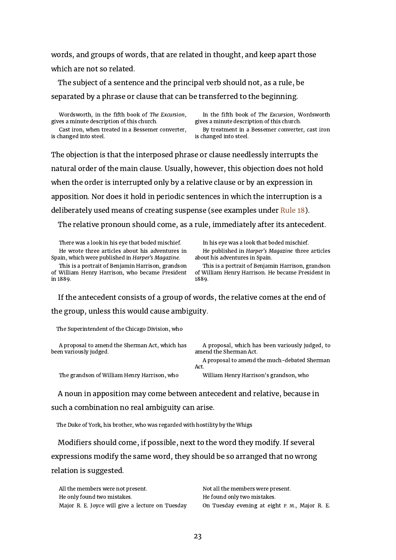words, and groups of words, that are related in thought, and keep apart those which are not so related.

The subject of a sentence and the principal verb should not, as a rule, be separated by a phrase or clause that can be transferred to the beginning.

Wordsworth, in the fifth book of The Excursion, gives a minute description of this church. Cast iron, when treated in a Bessemer converter, is changed into steel.

In the fifth book of The Excursion, Wordsworth gives a minute description of this church. By treatment in a Bessemer converter, cast iron is changed into steel.

The objection is that the interposed phrase or clause needlessly interrupts the natural order of the main clause. Usually, however, this objection does not hold when the order is interrupted only by a relative clause or by an expression in apposition. Nor does it hold in periodic sentences in which the interruption is a deliberately used means of creating suspense (see examples under [Rule](#page-25-0) 18).

The relative pronoun should come, as a rule, immediately after its antecedent.

There was a look in his eye that boded mischief. In his eye was a look that boded mischief. He wrote three articles about his adventures in Spain, which were published in Harper's Magazine.

This is a portrait of Benjamin Harrison, grandson of William Henry Harrison, who became President in 1889.

He published in Harper's Magazine three articles about his adventures in Spain.

This is a portrait of Benjamin Harrison, grandson of William Henry Harrison. He became President in 1889.

If the antecedent consists of a group of words, the relative comes at the end of the group, unless this would cause ambiguity.

The Superintendent of the Chicago Division, who

A proposal to amend the Sherman Act, which has been variously judged.

A proposal, which has been variously judged, to amend the Sherman Act.

A proposal to amend the much-debated Sherman Act.

The grandson of William Henry Harrison, who William Henry Harrison's grandson, who

A noun in apposition may come between antecedent and relative, because in such a combination no real ambiguity can arise.

The Duke of York, his brother, who was regarded with hostility by the Whigs

Modifiers should come, if possible, next to the word they modify. If several expressions modify the same word, they should be so arranged that no wrong relation is suggested.

| All the members were not present.                | Not all the members were present.              |
|--------------------------------------------------|------------------------------------------------|
| He only found two mistakes.                      | He found only two mistakes.                    |
| Major R. E. Joyce will give a lecture on Tuesday | On Tuesday evening at eight P. M., Major R. E. |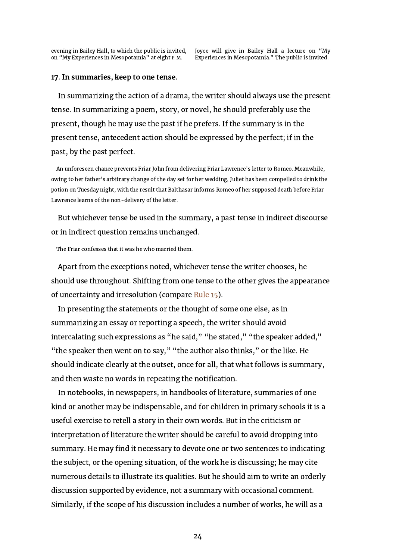evening in Bailey Hall, to which the public is invited, on "My Experiences in Mesopotamia" at eight P. M.

Joyce will give in Bailey Hall a lecture on "My Experiences in Mesopotamia." The public is invited.

#### <span id="page-24-0"></span>17. In summaries, keep to one tense.

In summarizing the action of a drama, the writer should always use the present tense. In summarizing a poem, story, or novel, he should preferably use the present, though he may use the past if he prefers. If the summary is in the present tense, antecedent action should be expressed by the perfect; if in the past, by the past perfect.

An unforeseen chance prevents Friar John from delivering Friar Lawrence's letter to Romeo. Meanwhile, owing to her father's arbitrary change of the day set for her wedding, Juliet has been compelled to drink the potion on Tuesday night, with the result that Balthasar informs Romeo of her supposed death before Friar Lawrence learns of the non-delivery of the letter.

But whichever tense be used in the summary, a past tense in indirect discourse or in indirect question remains unchanged.

The Friar confesses that it was he who married them.

Apart from the exceptions noted, whichever tense the writer chooses, he should use throughout. Shifting from one tense to the other gives the appearance of uncertainty and irresolution (compare [Rule](#page-21-0) 15).

In presenting the statements or the thought of some one else, as in summarizing an essay or reporting a speech, the writer should avoid intercalating such expressions as "he said," "he stated," "the speaker added," "the speaker then went on to say," "the author also thinks," or the like. He should indicate clearly at the outset, once for all, that what follows is summary, and then waste no words in repeating the notification.

In notebooks, in newspapers, in handbooks of literature, summaries of one kind or another may be indispensable, and for children in primary schools it is a useful exercise to retell a story in their own words. But in the criticism or interpretation of literature the writer should be careful to avoid dropping into summary. He may find it necessary to devote one or two sentences to indicating the subject, or the opening situation, of the work he is discussing; he may cite numerous details to illustrate its qualities. But he should aim to write an orderly discussion supported by evidence, not a summary with occasional comment. Similarly, if the scope of his discussion includes a number of works, he will as a

24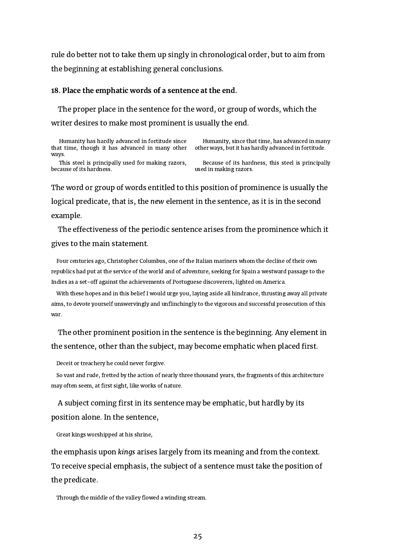rule do better not to take them up singly in chronological order, but to aim from the beginning at establishing general conclusions.

#### <span id="page-25-0"></span>18. Place the emphatic words of a sentence at the end.

The proper place in the sentence for the word, or group of words, which the writer desires to make most prominent is usually the end.

| Humanity has hardly advanced in fortitude since<br>that time, though it has advanced in many other | Humanity, since that time, has advanced in many<br>other ways, but it has hardly advanced in fortitude. |
|----------------------------------------------------------------------------------------------------|---------------------------------------------------------------------------------------------------------|
| ways.                                                                                              |                                                                                                         |
| This steel is principally used for making razors,                                                  | Because of its hardness, this steel is principally                                                      |

because of its hardness.

steel is principa used in making razors.

The word or group of words entitled to this position of prominence is usually the logical predicate, that is, the new element in the sentence, as it is in the second example.

The effectiveness of the periodic sentence arises from the prominence which it gives to the main statement.

Four centuries ago, Christopher Columbus, one of the Italian mariners whom the decline of their own republics had put at the service of the world and of adventure, seeking for Spain a westward passage to the Indies as a set-off against the achievements of Portuguese discoverers, lighted on America.

With these hopes and in this belief I would urge you, laying aside all hindrance, thrusting away all private aims, to devote yourself unswervingly and unflinchingly to the vigorous and successful prosecution of this war.

The other prominent position in the sentence is the beginning. Any element in the sentence, other than the subject, may become emphatic when placed first.

Deceit or treachery he could never forgive.

So vast and rude, fretted by the action of nearly three thousand years, the fragments of this architecture may often seem, at first sight, like works of nature.

A subject coming first in its sentence may be emphatic, but hardly by its position alone. In the sentence,

Great kings worshipped at his shrine,

the emphasis upon kings arises largely from its meaning and from the context. To receive special emphasis, the subject of a sentence must take the position of the predicate.

Through the middle of the valley flowed a winding stream.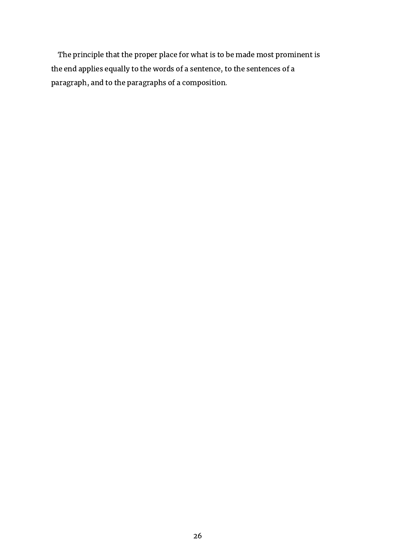The principle that the proper place for what is to be made most prominent is the end applies equally to the words of a sentence, to the sentences of a paragraph, and to the paragraphs of a composition.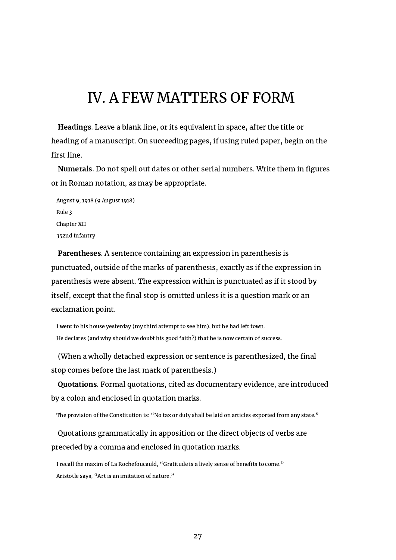## <span id="page-27-0"></span>IV. A FEW MATTERS OF FORM

Headings. Leave a blank line, or its equivalent in space, after the title or heading of a manuscript. On succeeding pages, if using ruled paper, begin on the first line.

Numerals. Do not spell out dates or other serial numbers. Write them in figures or in Roman notation, as may be appropriate.

August 9, 1918 (9 August 1918) Rule 3 Chapter XII 352nd Infantry

Parentheses. A sentence containing an expression in parenthesis is punctuated, outside of the marks of parenthesis, exactly as if the expression in parenthesis were absent. The expression within is punctuated as if it stood by itself, except that the final stop is omitted unless it is a question mark or an exclamation point.

I went to his house yesterday (my third attempt to see him), but he had left town. He declares (and why should we doubt his good faith?) that he is now certain of success.

(When a wholly detached expression or sentence is parenthesized, the final stop comes before the last mark of parenthesis.)

Quotations. Formal quotations, cited as documentary evidence, are introduced by a colon and enclosed in quotation marks.

The provision of the Constitution is: "No tax or duty shall be laid on articles exported from any state."

Quotations grammatically in apposition or the direct objects of verbs are preceded by a comma and enclosed in quotation marks.

I recall the maxim of La Rochefoucauld, "Gratitude is a lively sense of benefits to come." Aristotle says, "Art is an imitation of nature."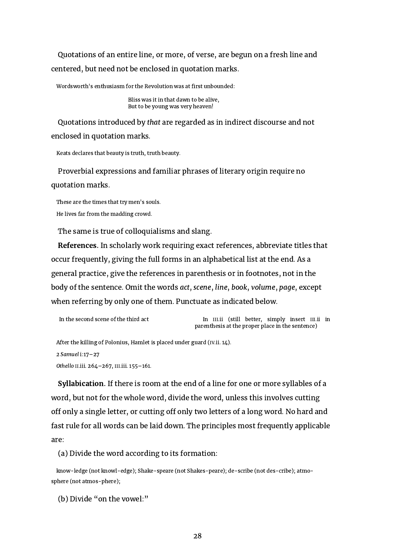Quotations of an entire line, or more, of verse, are begun on a fresh line and centered, but need not be enclosed in quotation marks.

Wordsworth's enthusiasm for the Revolution was at first unbounded:

Bliss was it in that dawn to be alive, But to be young was very heaven!

Quotations introduced by that are regarded as in indirect discourse and not enclosed in quotation marks.

Keats declares that beauty is truth, truth beauty.

Proverbial expressions and familiar phrases of literary origin require no quotation marks.

These are the times that try men's souls. He lives far from the madding crowd.

The same is true of colloquialisms and slang.

References. In scholarly work requiring exact references, abbreviate titles that occur frequently, giving the full forms in an alphabetical list at the end. As a general practice, give the references in parenthesis or in footnotes, not in the body of the sentence. Omit the words act, scene, line, book, volume, page, except when referring by only one of them. Punctuate as indicated below.

```
In the second scene of the third act In III.ii (still better, simply insert III.ii in
                                  parenthesis at the proper place in the sentence)
```
After the killing of Polonius, Hamlet is placed under guard (IV.ii. 14).

```
2 Samuel i:17–27
```
Othello II.iii. 264–267, III.iii. 155–161.

Syllabication. If there is room at the end of a line for one or more syllables of a word, but not for the whole word, divide the word, unless this involves cutting off only a single letter, or cutting off only two letters of a long word. No hard and fast rule for all words can be laid down. The principles most frequently applicable are:

(a) Divide the word according to its formation:

know-ledge (not knowl-edge); Shake-speare (not Shakes-peare); de-scribe (not des-cribe); atmosphere (not atmos-phere);

(b) Divide "on the vowel:"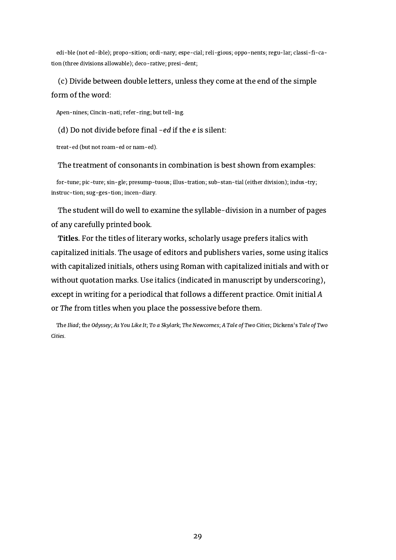edi-ble (not ed-ible); propo-sition; ordi-nary; espe-cial; reli-gious; oppo-nents; regu-lar; classi-fi-cation (three divisions allowable); deco-rative; presi-dent;

### (c) Divide between double letters, unless they come at the end of the simple form of the word:

Apen-nines; Cincin-nati; refer-ring; but tell-ing.

#### (d) Do not divide before final  $-e$ d if the  $e$  is silent:

treat-ed (but not roam-ed or nam-ed).

#### The treatment of consonants in combination is best shown from examples:

for-tune; pic-ture; sin-gle; presump-tuous; illus-tration; sub-stan-tial (either division); indus-try; instruc-tion; sug-ges-tion; incen-diary.

The student will do well to examine the syllable-division in a number of pages of any carefully printed book.

Titles. For the titles of literary works, scholarly usage prefers italics with capitalized initials. The usage of editors and publishers varies, some using italics with capitalized initials, others using Roman with capitalized initials and with or without quotation marks. Use italics (indicated in manuscript by underscoring), except in writing for a periodical that follows a different practice. Omit initial A or The from titles when you place the possessive before them.

The Iliad; the Odyssey; As You Like It; To a Skylark; The Newcomes; A Tale of Two Cities; Dickens's Tale of Two Cities.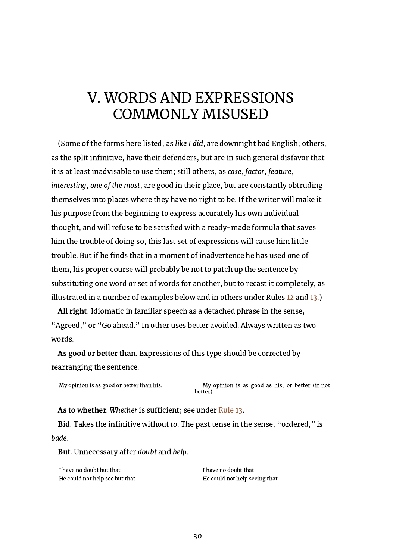## <span id="page-30-0"></span>V. WORDS AND EXPRESSIONS COMMONLY MISUSED

(Some of the forms here listed, as like I did, are downright bad English; others, as the split infinitive, have their defenders, but are in such general disfavor that it is at least inadvisable to use them; still others, as case, factor, feature, interesting, one of the most, are good in their place, but are constantly obtruding themselves into places where they have no right to be. If the writer will make it his purpose from the beginning to express accurately his own individual thought, and will refuse to be satisfied with a ready-made formula that saves him the trouble of doing so, this last set of expressions will cause him little trouble. But if he finds that in a moment of inadvertence he has used one of them, his proper course will probably be not to patch up the sentence by substituting one word or set of words for another, but to recast it completely, as illustrated in a number of examples below and in others under Rules [12](#page-18-0) and [13](#page-19-0).)

All right. Idiomatic in familiar speech as a detached phrase in the sense, "Agreed," or "Go ahead." In other uses better avoided. Always written as two words.

As good or better than. Expressions of this type should be corrected by rearranging the sentence.

My opinion is as good or better than his. My opinion is as good as his, or better (if not better).

As to whether. Whether is sufficient; see under [Rule](#page-19-0) 13.

Bid. Takes the infinitive without to. The past tense in the sense, "ordered," is bade.

<span id="page-30-1"></span>But. Unnecessary after doubt and help.

I have no doubt but that I have no doubt that He could not help see but that He could not help seeing that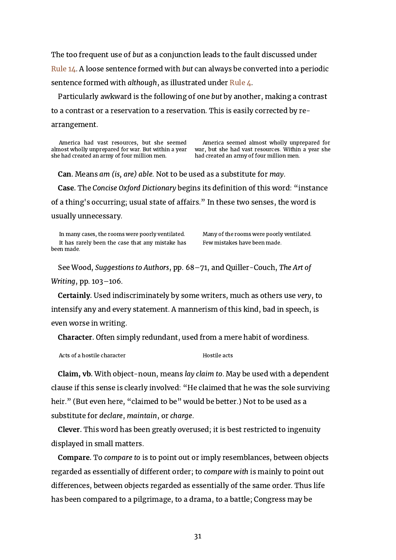The too frequent use of but as a conjunction leads to the fault discussed under [Rule](#page-20-0) 14. A loose sentence formed with but can always be converted into a periodic sentence formed with although, as illustrated under [Rule](#page-7-0) 4.

Particularly awkward is the following of one but by another, making a contrast to a contrast or a reservation to a reservation. This is easily corrected by rearrangement.

America had vast resources, but she seemed almost wholly unprepared for war. But within a year she had created an army of four million men.

America seemed almost wholly unprepared for war, but she had vast resources. Within a year she had created an army of four million men.

Can. Means am (is, are) able. Not to be used as a substitute for may.

<span id="page-31-0"></span>Case. The Concise Oxford Dictionary begins its definition of this word: "instance of a thing's occurring; usual state of affairs." In these two senses, the word is usually unnecessary.

In many cases, the rooms were poorly ventilated. Many of the rooms were poorly ventilated. It has rarely been the case that any mistake has been made.

Few mistakes have been made.

See Wood, Suggestions to Authors, pp. 68–71, and Quiller-Couch, The Art of Writing, pp. 103–106.

Certainly. Used indiscriminately by some writers, much as others use very, to intensify any and every statement. A mannerism of this kind, bad in speech, is even worse in writing.

<span id="page-31-1"></span>Character. Often simply redundant, used from a mere habit of wordiness.

Acts of a hostile character **Hostile acts** 

Claim, vb. With object-noun, means lay claim to. May be used with a dependent clause if this sense is clearly involved: "He claimed that he was the sole surviving heir." (But even here, "claimed to be" would be better.) Not to be used as a substitute for declare, maintain, or charge.

Clever. This word has been greatly overused; it is best restricted to ingenuity displayed in small matters.

Compare. To compare to is to point out or imply resemblances, between objects regarded as essentially of different order; to compare with is mainly to point out differences, between objects regarded as essentially of the same order. Thus life has been compared to a pilgrimage, to a drama, to a battle; Congress may be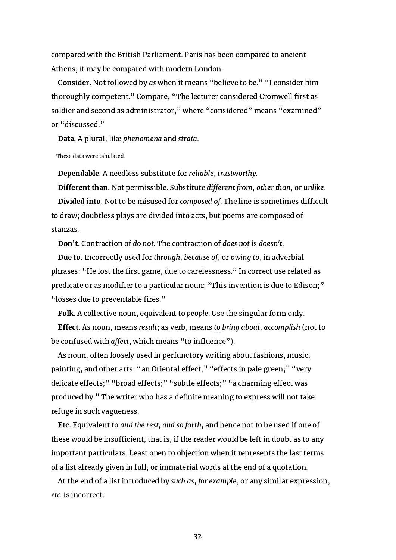compared with the British Parliament. Paris has been compared to ancient Athens; it may be compared with modern London.

Consider. Not followed by as when it means "believe to be." "I consider him thoroughly competent." Compare, "The lecturer considered Cromwell first as soldier and second as administrator," where "considered" means "examined" or "discussed."

Data. A plural, like phenomena and strata.

These data were tabulated.

Dependable. A needless substitute for reliable, trustworthy.

Different than. Not permissible. Substitute different from, other than, or unlike. Divided into. Not to be misused for composed of. The line is sometimes difficult to draw; doubtless plays are divided into acts, but poems are composed of stanzas.

Don't. Contraction of do not. The contraction of does not is doesn't.

Due to. Incorrectly used for through, because of, or owing to, in adverbial phrases: "He lost the first game, due to carelessness." In correct use related as predicate or as modifier to a particular noun: "This invention is due to Edison;" "losses due to preventable fires."

Folk. A collective noun, equivalent to people. Use the singular form only.

Effect. As noun, means result; as verb, means to bring about, accomplish (not to be confused with *affect*, which means "to influence").

As noun, often loosely used in perfunctory writing about fashions, music, painting, and other arts: "an Oriental effect;" "effects in pale green;" "very delicate effects;" "broad effects;" "subtle effects;" "a charming effect was produced by." The writer who has a definite meaning to express will not take refuge in such vagueness.

Etc. Equivalent to and the rest, and so forth, and hence not to be used if one of these would be insufficient, that is, if the reader would be left in doubt as to any important particulars. Least open to objection when it represents the last terms of a list already given in full, or immaterial words at the end of a quotation.

At the end of a list introduced by such as, for example, or any similar expression, etc. is incorrect.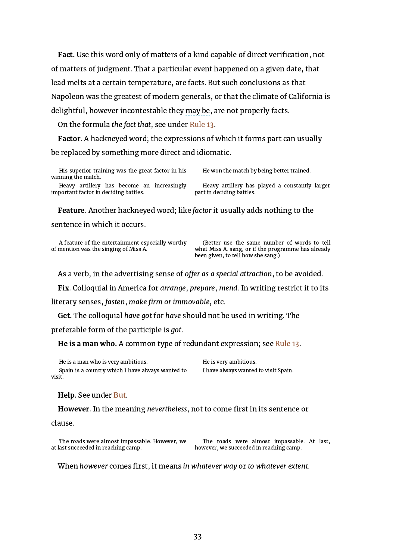Fact. Use this word only of matters of a kind capable of direct verification, not of matters of judgment. That a particular event happened on a given date, that lead melts at a certain temperature, are facts. But such conclusions as that Napoleon was the greatest of modern generals, or that the climate of California is delightful, however incontestable they may be, are not properly facts.

On the formula the fact that, see under [Rule](#page-19-0) 13.

Factor. A hackneyed word; the expressions of which it forms part can usually be replaced by something more direct and idiomatic.

His superior training was the great factor in his winning the match.

Heavy artillery has become an increasingly important factor in deciding battles.

He won the match by being better trained.

Heavy artillery has played a constantly larger part in deciding battles.

Feature. Another hackneyed word; like factor it usually adds nothing to the sentence in which it occurs.

A feature of the entertainment especially worthy of mention was the singing of Miss A.

(Better use the same number of words to tell what Miss A. sang, or if the programme has already been given, to tell how she sang.)

As a verb, in the advertising sense of offer as a special attraction, to be avoided.

Fix. Colloquial in America for arrange, prepare, mend. In writing restrict it to its

literary senses, fasten, make firm or immovable, etc.

Get. The colloquial have got for have should not be used in writing. The

preferable form of the participle is got.

He is a man who. A common type of redundant expression; see [Rule](#page-19-0) 13.

He is a man who is very ambitious. He is very ambitious.

Spain is a country which I have always wanted to visit.

I have always wanted to visit Spain.

#### Help. See under [But.](#page-30-1)

However. In the meaning nevertheless, not to come first in its sentence or

clause.

The roads were almost impassable. However, we at last succeeded in reaching camp.

The roads were almost impassable. At last, however, we succeeded in reaching camp.

When however comes first, it means in whatever way or to whatever extent.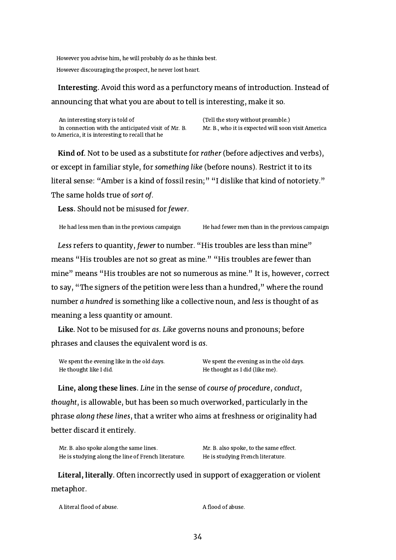However you advise him, he will probably do as he thinks best.

However discouraging the prospect, he never lost heart.

## Interesting. Avoid this word as a perfunctory means of introduction. Instead of announcing that what you are about to tell is interesting, make it so.

An interesting story is told of (Tell the story without preamble.) In connection with the anticipated visit of Mr. B. to America, it is interesting to recall that he

Mr. B., who it is expected will soon visit America

<span id="page-34-0"></span>Kind of. Not to be used as a substitute for rather (before adjectives and verbs), or except in familiar style, for something like (before nouns). Restrict it to its literal sense: "Amber is a kind of fossil resin;" "I dislike that kind of notoriety." The same holds true of sort of.

Less. Should not be misused for fewer.

He had fewer men than in the previous campaign

Less refers to quantity, fewer to number. "His troubles are less than mine" means "His troubles are not so great as mine." "His troubles are fewer than mine" means "His troubles are not so numerous as mine." It is, however, correct to say, "The signers of the petition were less than a hundred," where the round number a hundred is something like a collective noun, and less is thought of as meaning a less quantity or amount.

Like. Not to be misused for as. Like governs nouns and pronouns; before phrases and clauses the equivalent word is as.

| We spent the evening like in the old days. | We spent the evening as in the old days. |
|--------------------------------------------|------------------------------------------|
| He thought like I did.                     | He thought as I did (like me).           |

Line, along these lines. Line in the sense of course of procedure, conduct, thought, is allowable, but has been so much overworked, particularly in the phrase along these lines, that a writer who aims at freshness or originality had better discard it entirely.

| Mr. B. also spoke along the same lines.             |  |
|-----------------------------------------------------|--|
| He is studying along the line of French literature. |  |

Mr. B. also spoke, to the same effect. He is studying French literature.

Literal, literally. Often incorrectly used in support of exaggeration or violent metaphor.

| A literal flood of abuse. | A flood of abuse. |
|---------------------------|-------------------|
|                           |                   |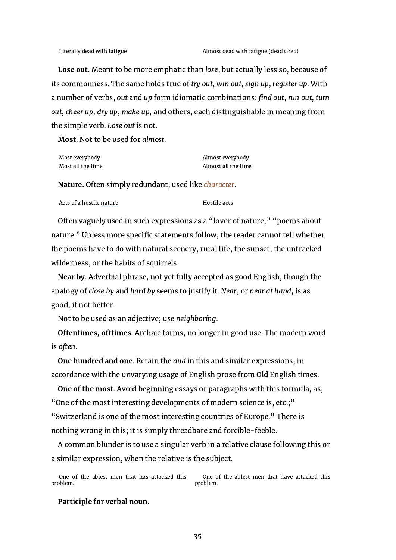Lose out. Meant to be more emphatic than lose, but actually less so, because of its commonness. The same holds true of try out, win out, sign up, register up. With a number of verbs, out and up form idiomatic combinations: find out, run out, turn out, cheer up, dry up, make up, and others, each distinguishable in meaning from the simple verb. Lose out is not.

Most. Not to be used for almost.

| Most everybody    | Almost everybody    |
|-------------------|---------------------|
| Most all the time | Almost all the time |

<span id="page-35-0"></span>Nature. Often simply redundant, used like *character*.

Acts of a hostile nature hostile acts

Often vaguely used in such expressions as a "lover of nature;" "poems about nature." Unless more specific statements follow, the reader cannot tell whether the poems have to do with natural scenery, rural life, the sunset, the untracked wilderness, or the habits of squirrels.

Near by. Adverbial phrase, not yet fully accepted as good English, though the analogy of close by and hard by seems to justify it. Near, or near at hand, is as good, if not better.

Not to be used as an adjective; use neighboring.

Oftentimes, ofttimes. Archaic forms, no longer in good use. The modern word is often.

One hundred and one. Retain the and in this and similar expressions, in accordance with the unvarying usage of English prose from Old English times.

One of the most. Avoid beginning essays or paragraphs with this formula, as, "One of the most interesting developments of modern science is, etc.;" "Switzerland is one of the most interesting countries of Europe." There is nothing wrong in this; it is simply threadbare and forcible-feeble.

A common blunder is to use a singular verb in a relative clause following this or a similar expression, when the relative is the subject.

One of the ablest men that has attacked this problem. One of the ablest men that have attacked this problem.

Participle for verbal noun.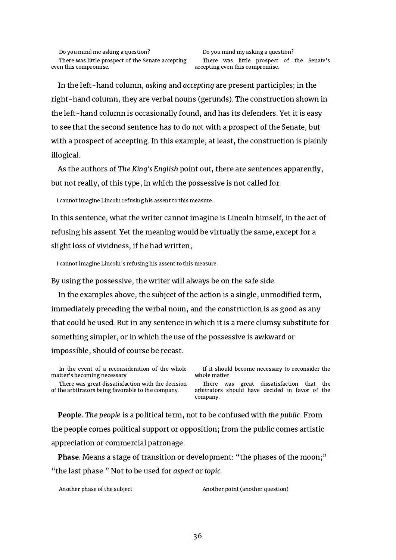In the left-hand column, asking and accepting are present participles; in the right-hand column, they are verbal nouns (gerunds). The construction shown in the left-hand column is occasionally found, and has its defenders. Yet it is easy to see that the second sentence has to do not with a prospect of the Senate, but with a prospect of accepting. In this example, at least, the construction is plainly illogical.

As the authors of The King's English point out, there are sentences apparently, but not really, of this type, in which the possessive is not called for.

I cannot imagine Lincoln refusing his assent to this measure.

In this sentence, what the writer cannot imagine is Lincoln himself, in the act of refusing his assent. Yet the meaning would be virtually the same, except for a slight loss of vividness, if he had written,

I cannot imagine Lincoln's refusing his assent to this measure.

By using the possessive, the writer will always be on the safe side.

In the examples above, the subject of the action is a single, unmodified term, immediately preceding the verbal noun, and the construction is as good as any that could be used. But in any sentence in which it is a mere clumsy substitute for something simpler, or in which the use of the possessive is awkward or impossible, should of course be recast.

In the event of a reconsideration of the whole matter's becoming necessary

There was great dissatisfaction with the decision of the arbitrators being favorable to the company.

If it should become necessary to reconsider the whole matter

There was great dissatisfaction that the arbitrators should have decided in favor of the company.

People. The people is a political term, not to be confused with the public. From the people comes political support or opposition; from the public comes artistic appreciation or commercial patronage.

Phase. Means a stage of transition or development: "the phases of the moon;" "the last phase." Not to be used for aspect or topic.

Another phase of the subject Another point (another question)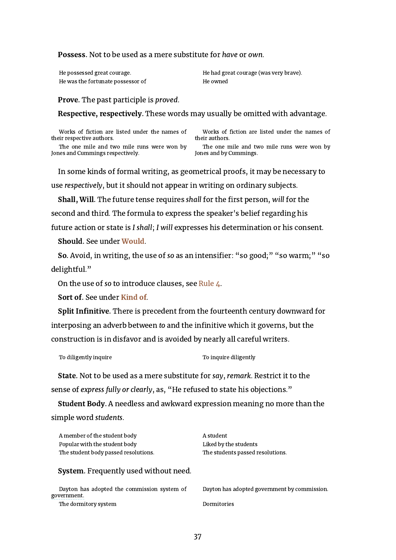#### Possess. Not to be used as a mere substitute for have or own.

He was the fortunate possessor of **He owned** 

He possessed great courage. He had great courage (was very brave).

Prove. The past participle is proved.

Respective, respectively. These words may usually be omitted with advantage.

Works of fiction are listed under the names of their respective authors.

The one mile and two mile runs were won by Jones and Cummings respectively.

Works of fiction are listed under the names of their authors.

The one mile and two mile runs were won by Jones and by Cummings.

In some kinds of formal writing, as geometrical proofs, it may be necessary to use respectively, but it should not appear in writing on ordinary subjects.

Shall, Will. The future tense requires shall for the first person, will for the

second and third. The formula to express the speaker's belief regarding his

future action or state is I shall; I will expresses his determination or his consent.

Should. See under [Would.](#page-39-0)

So. Avoid, in writing, the use of so as an intensifier: "so good;" "so warm;" "so delightful."

On the use of so to introduce clauses, see [Rule](#page-7-0)  $\mu$ .

Sort of. See under [Kind](#page-34-0) of.

Split Infinitive. There is precedent from the fourteenth century downward for interposing an adverb between to and the infinitive which it governs, but the construction is in disfavor and is avoided by nearly all careful writers.

To diligently inquire  $\qquad \qquad$  To inquire diligently

State. Not to be used as a mere substitute for say, remark. Restrict it to the sense of express fully or clearly, as, "He refused to state his objections."

Student Body. A needless and awkward expression meaning no more than the simple word students.

<span id="page-37-0"></span>

| A member of the student body<br>Popular with the student body | A student<br>Liked by the students           |
|---------------------------------------------------------------|----------------------------------------------|
| The student body passed resolutions.                          | The students passed resolutions.             |
| <b>System.</b> Frequently used without need.                  |                                              |
| Dayton has adopted the commission system of<br>government.    | Dayton has adopted government by commission. |
| The dormitory system                                          | Dormitories                                  |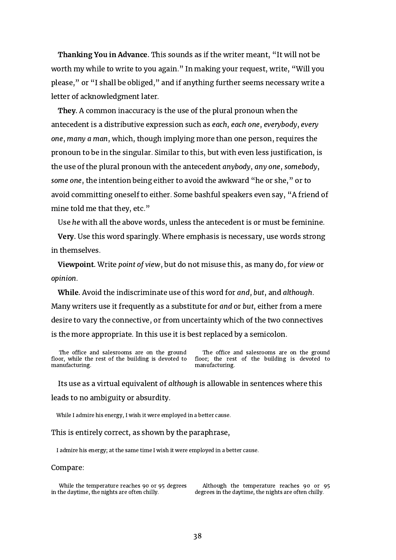Thanking You in Advance. This sounds as if the writer meant, "It will not be worth my while to write to you again." In making your request, write, "Will you please," or "I shall be obliged," and if anything further seems necessary write a letter of acknowledgment later.

They. A common inaccuracy is the use of the plural pronoun when the antecedent is a distributive expression such as each, each one, everybody, every one, many a man, which, though implying more than one person, requires the pronoun to be in the singular. Similar to this, but with even less justification, is the use of the plural pronoun with the antecedent anybody, any one, somebody, some one, the intention being either to avoid the awkward "he or she," or to avoid committing oneself to either. Some bashful speakers even say, "A friend of mine told me that they, etc."

Use he with all the above words, unless the antecedent is or must be feminine.

Very. Use this word sparingly. Where emphasis is necessary, use words strong in themselves.

Viewpoint. Write point of view, but do not misuse this, as many do, for view or opinion.

While. Avoid the indiscriminate use of this word for and, but, and although. Many writers use it frequently as a substitute for and or but, either from a mere desire to vary the connective, or from uncertainty which of the two connectives is the more appropriate. In this use it is best replaced by a semicolon.

The office and salesrooms are on the ground floor, while the rest of the building is devoted to manufacturing.

The office and salesrooms are on the ground floor; the rest of the building is devoted to manufacturing.

Its use as a virtual equivalent of although is allowable in sentences where this leads to no ambiguity or absurdity.

While I admire his energy, I wish it were employed in a better cause.

This is entirely correct, as shown by the paraphrase,

I admire his energy; at the same time I wish it were employed in a better cause.

#### Compare:

While the temperature reaches 90 or 95 degrees in the daytime, the nights are often chilly.

Although the temperature reaches 90 or 95 degrees in the daytime, the nights are often chilly.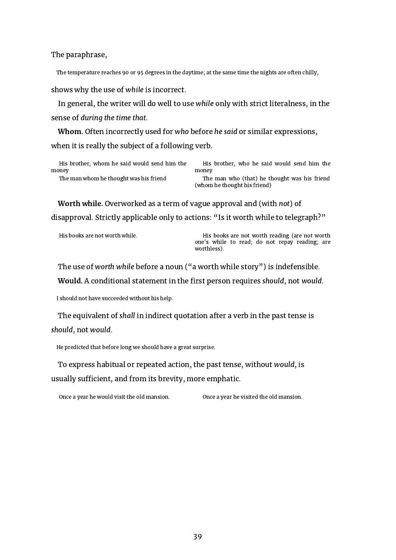The paraphrase,

The temperature reaches 90 or 95 degrees in the daytime; at the same time the nights are often chilly,

shows why the use of while is incorrect.

In general, the writer will do well to use while only with strict literalness, in the sense of during the time that.

Whom. Often incorrectly used for who before he said or similar expressions, when it is really the subject of a following verb.

|       | His brother, whom he said would send him the |  |  |  |  |
|-------|----------------------------------------------|--|--|--|--|
| money |                                              |  |  |  |  |
|       | The man whom he thought was his friend       |  |  |  |  |

His brother, who he said would send him the money

The man who (that) he thought was his friend (whom he thought his friend)

Worth while. Overworked as a term of vague approval and (with not) of disapproval. Strictly applicable only to actions: "Is it worth while to telegraph?"

His books are not worth while. His books are not worth reading (are not worth one's while to read; do not repay reading; are worthless).

<span id="page-39-0"></span>The use of worth while before a noun ("a worth while story") is indefensible. Would. A conditional statement in the first person requires should, not would.

I should not have succeeded without his help.

The equivalent of shall in indirect quotation after a verb in the past tense is should, not would.

He predicted that before long we should have a great surprise.

To express habitual or repeated action, the past tense, without would, is usually sufficient, and from its brevity, more emphatic.

Once a year he would visit the old mansion. Once a year he visited the old mansion.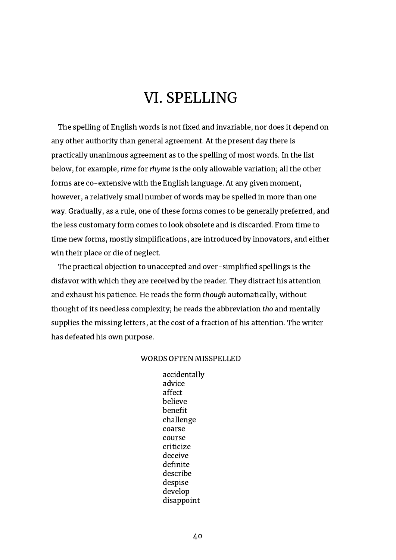## VI. SPELLING

<span id="page-40-0"></span>The spelling of English words is not fixed and invariable, nor does it depend on any other authority than general agreement. At the present day there is practically unanimous agreement as to the spelling of most words. In the list below, for example, rime for rhyme is the only allowable variation; all the other forms are co-extensive with the English language. At any given moment, however, a relatively small number of words may be spelled in more than one way. Gradually, as a rule, one of these forms comes to be generally preferred, and the less customary form comes to look obsolete and is discarded. From time to time new forms, mostly simplifications, are introduced by innovators, and either win their place or die of neglect.

The practical objection to unaccepted and over-simplified spellings is the disfavor with which they are received by the reader. They distract his attention and exhaust his patience. He reads the form though automatically, without thought of its needless complexity; he reads the abbreviation tho and mentally supplies the missing letters, at the cost of a fraction of his attention. The writer has defeated his own purpose.

#### WORDS OFTEN MISSPELLED

accidentally advice affect believe benefit challenge coarse course criticize deceive definite describe despise develop disappoint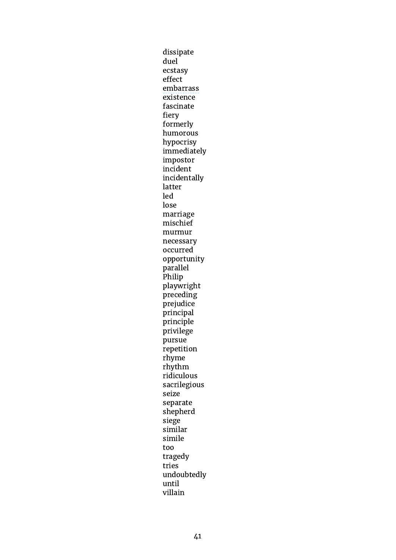dissipate duel ecstasy effect embarrass existence fascinate fiery formerly humorous hypocrisy immediately impostor incident incidentally latter led lose marriage mischief murmur necessary occurred opportunity parallel Philip playwright preceding prejudice principal principle privilege pursue repetition rhyme rhythm ridiculous sacrilegious seize separate shepherd siege similar simile too tragedy tries undoubtedly until villain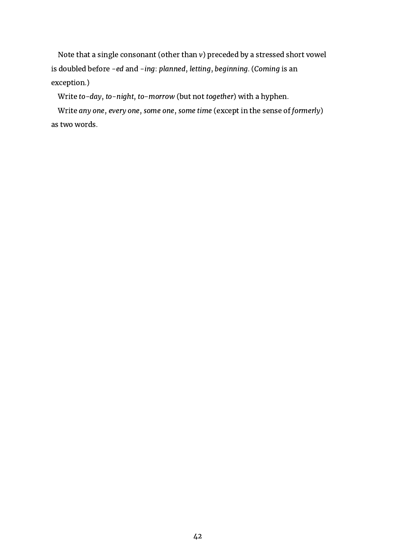Note that a single consonant (other than v) preceded by a stressed short vowel is doubled before -ed and -ing: planned, letting, beginning. (Coming is an exception.)

Write to-day, to-night, to-morrow (but not together) with a hyphen.

Write any one, every one, some one, some time (except in the sense of formerly) as two words.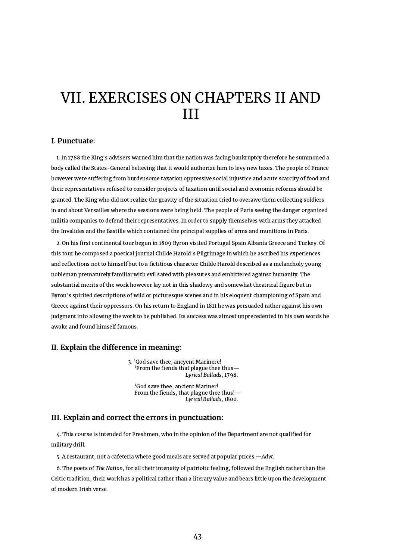## <span id="page-43-0"></span>VII. EXERCISES ON CHAPTERS II AND III

#### I. Punctuate:

1. In 1788 the King's advisers warned him that the nation was facing bankruptcy therefore he summoned a body called the States-General believing that it would authorize him to levy new taxes. The people of France however were suffering from burdensome taxation oppressive social injustice and acute scarcity of food and their representatives refused to consider projects of taxation until social and economic reforms should be granted. The King who did not realize the gravity of the situation tried to overawe them collecting soldiers in and about Versailles where the sessions were being held. The people of Paris seeing the danger organized militia companies to defend their representatives. In order to supply themselves with arms they attacked the Invalides and the Bastille which contained the principal supplies of arms and munitions in Paris.

2. On his first continental tour begun in 1809 Byron visited Portugal Spain Albania Greece and Turkey. Of this tour he composed a poetical journal Childe Harold's Pilgrimage in which he ascribed his experiences and reflections not to himself but to a fictitious character Childe Harold described as a melancholy young nobleman prematurely familiar with evil sated with pleasures and embittered against humanity. The substantial merits of the work however lay not in this shadowy and somewhat theatrical figure but in Byron's spirited descriptions of wild or picturesque scenes and in his eloquent championing of Spain and Greece against their oppressors. On his return to England in 1811 he was persuaded rather against his own judgment into allowing the work to be published. Its success was almost unprecedented in his own words he awoke and found himself famous.

#### II. Explain the difference in meaning:

3. 'God save thee, ancyent Marinere! 'From the fiends that plague thee thus— Lyrical Ballads, 1798.

'God save thee, ancient Mariner! From the fiends, that plague thee thus!— Lyrical Ballads, 1800.

#### III. Explain and correct the errors in punctuation:

4. This course is intended for Freshmen, who in the opinion of the Department are not qualified for military drill.

5. A restaurant, not a cafeteria where good meals are served at popular prices.—Advt.

6. The poets of The Nation, for all their intensity of patriotic feeling, followed the English rather than the Celtic tradition, their work has a political rather than a literary value and bears little upon the development of modern Irish verse.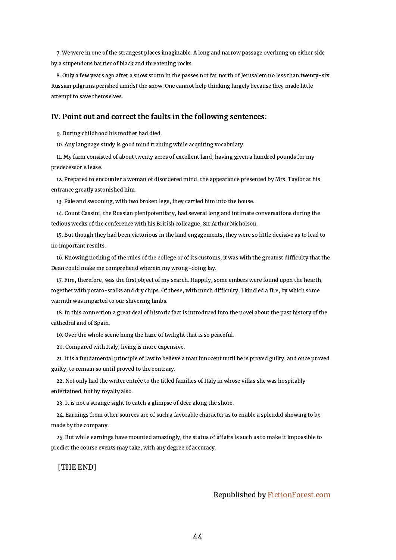7. We were in one of the strangest places imaginable. A long and narrow passage overhung on either side by a stupendous barrier of black and threatening rocks.

8. Only a few years ago after a snow storm in the passes not far north of Jerusalem no less than twenty-six Russian pilgrims perished amidst the snow. One cannot help thinking largely because they made little attempt to save themselves.

#### IV. Point out and correct the faults in the following sentences:

9. During childhood his mother had died.

10. Any language study is good mind training while acquiring vocabulary.

11. My farm consisted of about twenty acres of excellent land, having given a hundred pounds for my predecessor's lease.

12. Prepared to encounter a woman of disordered mind, the appearance presented by Mrs. Taylor at his entrance greatly astonished him.

13. Pale and swooning, with two broken legs, they carried him into the house.

14. Count Cassini, the Russian plenipotentiary, had several long and intimate conversations during the tedious weeks of the conference with his British colleague, Sir Arthur Nicholson.

15. But though they had been victorious in the land engagements, they were so little decisive as to lead to no important results.

16. Knowing nothing of the rules of the college or of its customs, it was with the greatest difficulty that the Dean could make me comprehend wherein my wrong-doing lay.

17. Fire, therefore, was the first object of my search. Happily, some embers were found upon the hearth, together with potato-stalks and dry chips. Of these, with much difficulty, I kindled a fire, by which some warmth was imparted to our shivering limbs.

18. In this connection a great deal of historic fact is introduced into the novel about the past history of the cathedral and of Spain.

19. Over the whole scene hung the haze of twilight that is so peaceful.

20. Compared with Italy, living is more expensive.

21. It is a fundamental principle of law to believe a man innocent until he is proved guilty, and once proved guilty, to remain so until proved to the contrary.

22. Not only had the writer entrée to the titled families of Italy in whose villas she was hospitably entertained, but by royalty also.

23. It is not a strange sight to catch a glimpse of deer along the shore.

24. Earnings from other sources are of such a favorable character as to enable a splendid showing to be made by the company.

25. But while earnings have mounted amazingly, the status of affairs is such as to make it impossible to predict the course events may take, with any degree of accuracy.

[THE END]

#### Republished by [FictionForest.com](https://fictionforest.com/)